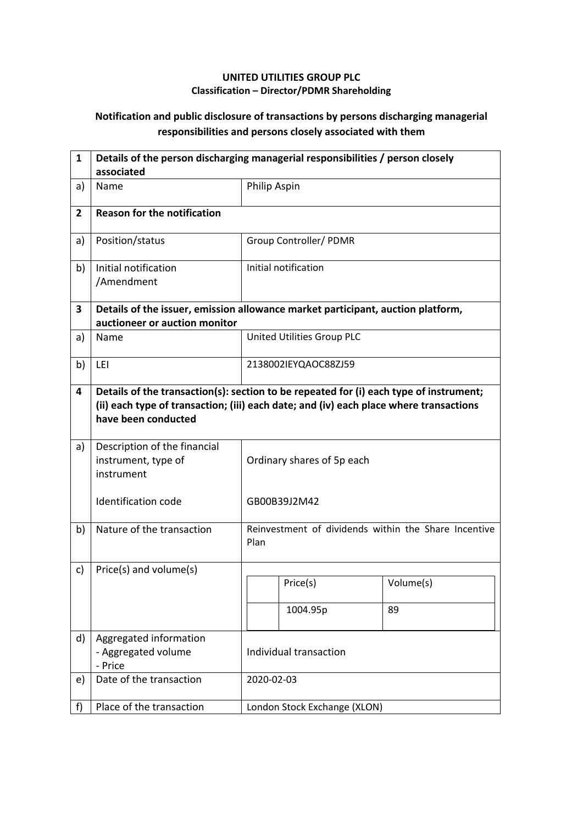## **UNITED UTILITIES GROUP PLC Classification – Director/PDMR Shareholding**

## **Notification and public disclosure of transactions by persons discharging managerial responsibilities and persons closely associated with them**

| $\mathbf{1}$   | Details of the person discharging managerial responsibilities / person closely<br>associated                     |                                                                                                                                                                                  |                              |                                                      |  |  |
|----------------|------------------------------------------------------------------------------------------------------------------|----------------------------------------------------------------------------------------------------------------------------------------------------------------------------------|------------------------------|------------------------------------------------------|--|--|
| a)             | Name                                                                                                             | Philip Aspin                                                                                                                                                                     |                              |                                                      |  |  |
| $\overline{2}$ | <b>Reason for the notification</b>                                                                               |                                                                                                                                                                                  |                              |                                                      |  |  |
| a)             | Position/status                                                                                                  |                                                                                                                                                                                  | Group Controller/ PDMR       |                                                      |  |  |
| b)             | Initial notification<br>/Amendment                                                                               |                                                                                                                                                                                  | Initial notification         |                                                      |  |  |
| 3              | Details of the issuer, emission allowance market participant, auction platform,<br>auctioneer or auction monitor |                                                                                                                                                                                  |                              |                                                      |  |  |
| a)             | Name                                                                                                             |                                                                                                                                                                                  | United Utilities Group PLC   |                                                      |  |  |
| b)             | LEI                                                                                                              | 2138002IEYQAOC88ZJ59                                                                                                                                                             |                              |                                                      |  |  |
| 4              | have been conducted                                                                                              | Details of the transaction(s): section to be repeated for (i) each type of instrument;<br>(ii) each type of transaction; (iii) each date; and (iv) each place where transactions |                              |                                                      |  |  |
| a)             | Description of the financial<br>instrument, type of<br>instrument                                                | Ordinary shares of 5p each                                                                                                                                                       |                              |                                                      |  |  |
|                | <b>Identification code</b>                                                                                       |                                                                                                                                                                                  | GB00B39J2M42                 |                                                      |  |  |
| b)             | Nature of the transaction                                                                                        | Plan                                                                                                                                                                             |                              | Reinvestment of dividends within the Share Incentive |  |  |
| c)             | Price(s) and volume(s)                                                                                           |                                                                                                                                                                                  |                              |                                                      |  |  |
|                |                                                                                                                  |                                                                                                                                                                                  | Price(s)                     | Volume(s)                                            |  |  |
|                |                                                                                                                  |                                                                                                                                                                                  | 1004.95p                     | 89                                                   |  |  |
| d)             | Aggregated information<br>- Aggregated volume<br>- Price                                                         | Individual transaction                                                                                                                                                           |                              |                                                      |  |  |
| e)             | Date of the transaction                                                                                          |                                                                                                                                                                                  | 2020-02-03                   |                                                      |  |  |
| f)             | Place of the transaction                                                                                         |                                                                                                                                                                                  | London Stock Exchange (XLON) |                                                      |  |  |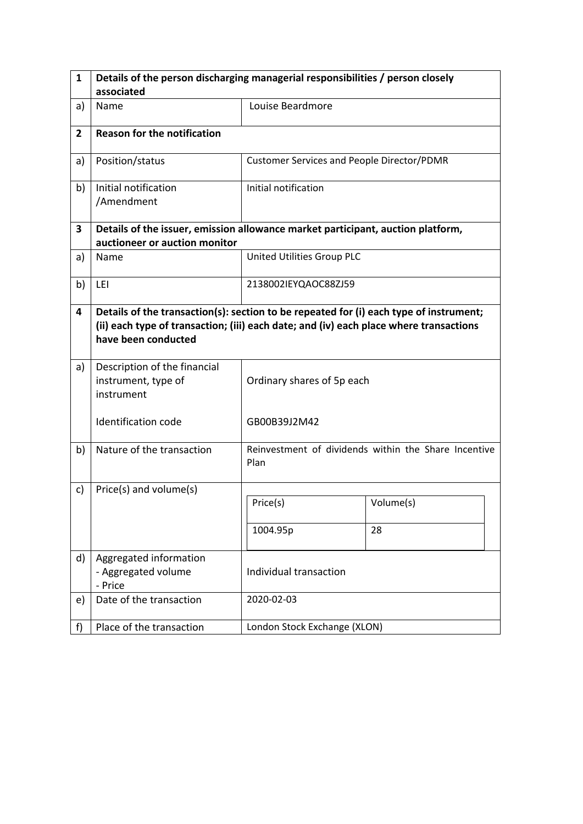| $\mathbf{1}$   | Details of the person discharging managerial responsibilities / person closely                                                                                                                          |                                                   |                                                      |  |  |  |
|----------------|---------------------------------------------------------------------------------------------------------------------------------------------------------------------------------------------------------|---------------------------------------------------|------------------------------------------------------|--|--|--|
|                | associated                                                                                                                                                                                              |                                                   |                                                      |  |  |  |
| a)             | Name                                                                                                                                                                                                    | Louise Beardmore                                  |                                                      |  |  |  |
| $\overline{2}$ | <b>Reason for the notification</b>                                                                                                                                                                      |                                                   |                                                      |  |  |  |
| a)             | Position/status                                                                                                                                                                                         | <b>Customer Services and People Director/PDMR</b> |                                                      |  |  |  |
| b)             | Initial notification<br>/Amendment                                                                                                                                                                      | Initial notification                              |                                                      |  |  |  |
| 3              | Details of the issuer, emission allowance market participant, auction platform,                                                                                                                         |                                                   |                                                      |  |  |  |
|                | auctioneer or auction monitor                                                                                                                                                                           |                                                   |                                                      |  |  |  |
| a)             | Name                                                                                                                                                                                                    | United Utilities Group PLC                        |                                                      |  |  |  |
| b)             | LEI                                                                                                                                                                                                     | 2138002IEYQAOC88ZJ59                              |                                                      |  |  |  |
| 4              | Details of the transaction(s): section to be repeated for (i) each type of instrument;<br>(ii) each type of transaction; (iii) each date; and (iv) each place where transactions<br>have been conducted |                                                   |                                                      |  |  |  |
| a)             | Description of the financial<br>instrument, type of<br>instrument                                                                                                                                       | Ordinary shares of 5p each                        |                                                      |  |  |  |
|                | Identification code                                                                                                                                                                                     | GB00B39J2M42                                      |                                                      |  |  |  |
| b)             | Nature of the transaction                                                                                                                                                                               | Plan                                              | Reinvestment of dividends within the Share Incentive |  |  |  |
| c)             | Price(s) and volume(s)                                                                                                                                                                                  |                                                   |                                                      |  |  |  |
|                |                                                                                                                                                                                                         | Price(s)                                          | Volume(s)                                            |  |  |  |
|                |                                                                                                                                                                                                         | 1004.95p                                          | 28                                                   |  |  |  |
| d)             | Aggregated information<br>- Aggregated volume<br>- Price                                                                                                                                                | Individual transaction                            |                                                      |  |  |  |
| e)             | Date of the transaction                                                                                                                                                                                 | 2020-02-03                                        |                                                      |  |  |  |
| f              | Place of the transaction                                                                                                                                                                                | London Stock Exchange (XLON)                      |                                                      |  |  |  |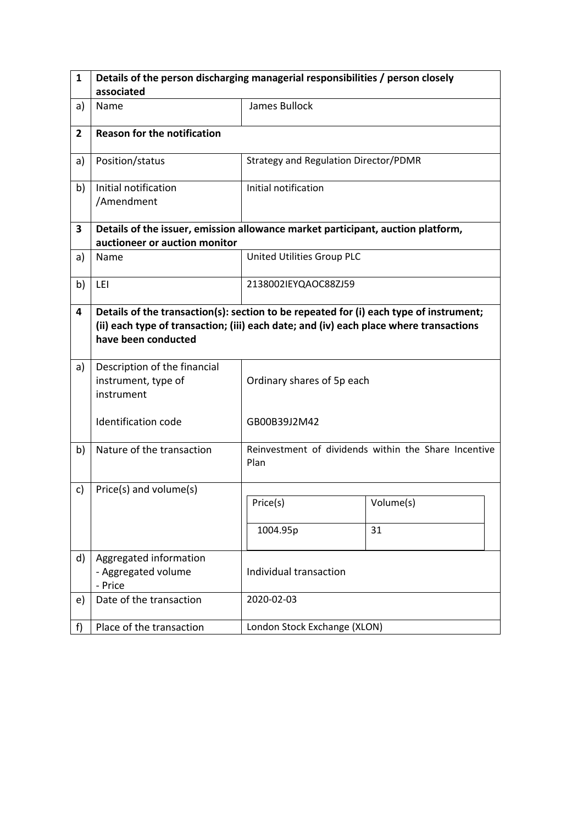| $\mathbf{1}$   | Details of the person discharging managerial responsibilities / person closely                                                                                                                          |                                       |                                                      |  |  |  |
|----------------|---------------------------------------------------------------------------------------------------------------------------------------------------------------------------------------------------------|---------------------------------------|------------------------------------------------------|--|--|--|
|                | associated                                                                                                                                                                                              |                                       |                                                      |  |  |  |
| a)             | Name                                                                                                                                                                                                    | James Bullock                         |                                                      |  |  |  |
| $\overline{2}$ | <b>Reason for the notification</b>                                                                                                                                                                      |                                       |                                                      |  |  |  |
| a)             | Position/status                                                                                                                                                                                         | Strategy and Regulation Director/PDMR |                                                      |  |  |  |
| b)             | Initial notification<br>/Amendment                                                                                                                                                                      | Initial notification                  |                                                      |  |  |  |
| 3              | Details of the issuer, emission allowance market participant, auction platform,                                                                                                                         |                                       |                                                      |  |  |  |
|                | auctioneer or auction monitor                                                                                                                                                                           |                                       |                                                      |  |  |  |
| a)             | Name                                                                                                                                                                                                    | United Utilities Group PLC            |                                                      |  |  |  |
| b)             | LEI                                                                                                                                                                                                     | 2138002IEYQAOC88ZJ59                  |                                                      |  |  |  |
| 4              | Details of the transaction(s): section to be repeated for (i) each type of instrument;<br>(ii) each type of transaction; (iii) each date; and (iv) each place where transactions<br>have been conducted |                                       |                                                      |  |  |  |
| a)             | Description of the financial<br>instrument, type of<br>instrument                                                                                                                                       | Ordinary shares of 5p each            |                                                      |  |  |  |
|                | Identification code                                                                                                                                                                                     | GB00B39J2M42                          |                                                      |  |  |  |
| b)             | Nature of the transaction                                                                                                                                                                               | Plan                                  | Reinvestment of dividends within the Share Incentive |  |  |  |
| c)             | Price(s) and volume(s)                                                                                                                                                                                  |                                       |                                                      |  |  |  |
|                |                                                                                                                                                                                                         | Price(s)                              | Volume(s)                                            |  |  |  |
|                |                                                                                                                                                                                                         | 1004.95p                              | 31                                                   |  |  |  |
| d)             | Aggregated information<br>- Aggregated volume<br>- Price                                                                                                                                                | Individual transaction                |                                                      |  |  |  |
| e)             | Date of the transaction                                                                                                                                                                                 | 2020-02-03                            |                                                      |  |  |  |
| f              | Place of the transaction                                                                                                                                                                                | London Stock Exchange (XLON)          |                                                      |  |  |  |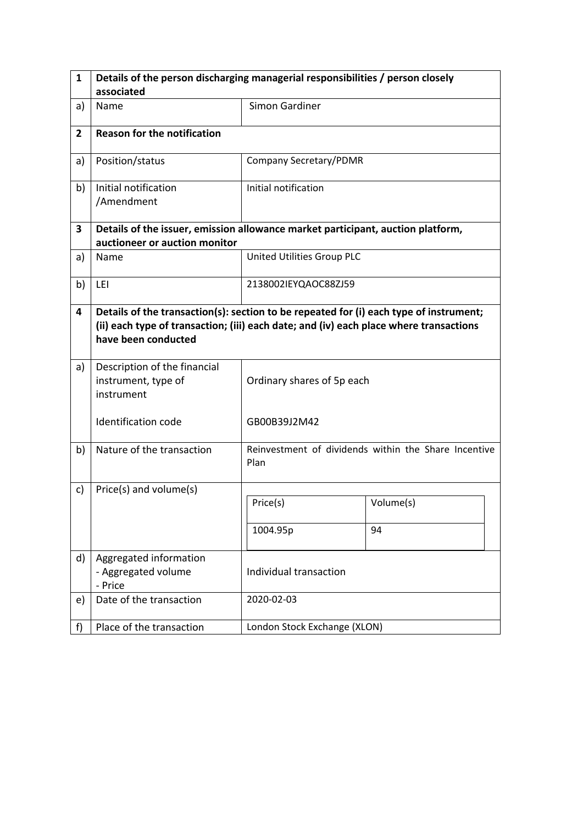| $\mathbf{1}$   | Details of the person discharging managerial responsibilities / person closely                                                                                                                          |                              |                                                      |  |  |  |
|----------------|---------------------------------------------------------------------------------------------------------------------------------------------------------------------------------------------------------|------------------------------|------------------------------------------------------|--|--|--|
|                | associated                                                                                                                                                                                              |                              |                                                      |  |  |  |
| a)             | Name                                                                                                                                                                                                    | <b>Simon Gardiner</b>        |                                                      |  |  |  |
| $\overline{2}$ | <b>Reason for the notification</b>                                                                                                                                                                      |                              |                                                      |  |  |  |
| a)             | Position/status                                                                                                                                                                                         | Company Secretary/PDMR       |                                                      |  |  |  |
| b)             | Initial notification<br>/Amendment                                                                                                                                                                      | Initial notification         |                                                      |  |  |  |
| 3              | Details of the issuer, emission allowance market participant, auction platform,                                                                                                                         |                              |                                                      |  |  |  |
|                | auctioneer or auction monitor                                                                                                                                                                           |                              |                                                      |  |  |  |
| a)             | Name                                                                                                                                                                                                    | United Utilities Group PLC   |                                                      |  |  |  |
| b)             | LEI                                                                                                                                                                                                     | 2138002IEYQAOC88ZJ59         |                                                      |  |  |  |
| 4              | Details of the transaction(s): section to be repeated for (i) each type of instrument;<br>(ii) each type of transaction; (iii) each date; and (iv) each place where transactions<br>have been conducted |                              |                                                      |  |  |  |
| a)             | Description of the financial<br>instrument, type of<br>instrument                                                                                                                                       | Ordinary shares of 5p each   |                                                      |  |  |  |
|                | Identification code                                                                                                                                                                                     | GB00B39J2M42                 |                                                      |  |  |  |
| b)             | Nature of the transaction                                                                                                                                                                               | Plan                         | Reinvestment of dividends within the Share Incentive |  |  |  |
| c)             | Price(s) and volume(s)                                                                                                                                                                                  |                              |                                                      |  |  |  |
|                |                                                                                                                                                                                                         | Price(s)                     | Volume(s)                                            |  |  |  |
|                |                                                                                                                                                                                                         | 1004.95p                     | 94                                                   |  |  |  |
| d)             | Aggregated information<br>- Aggregated volume<br>- Price                                                                                                                                                | Individual transaction       |                                                      |  |  |  |
| e)             | Date of the transaction                                                                                                                                                                                 | 2020-02-03                   |                                                      |  |  |  |
| f              | Place of the transaction                                                                                                                                                                                | London Stock Exchange (XLON) |                                                      |  |  |  |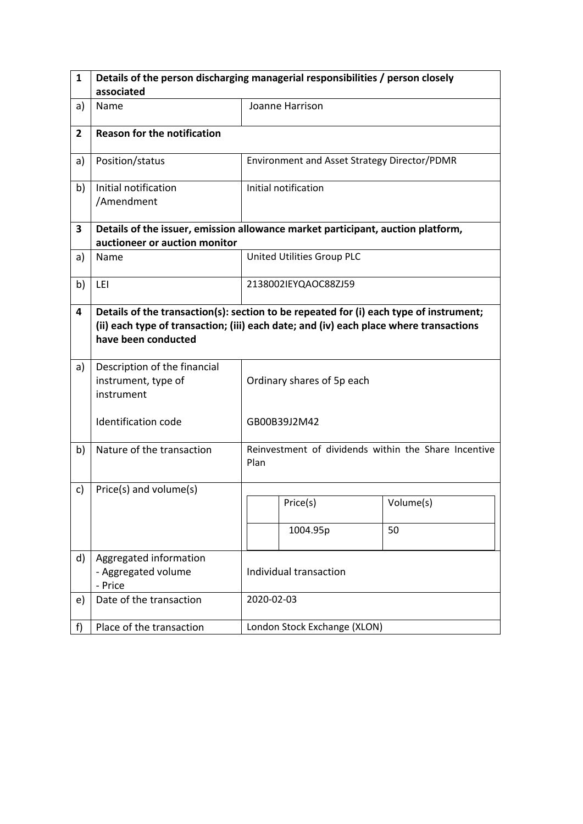| $\mathbf{1}$   | Details of the person discharging managerial responsibilities / person closely  |                                                                                                                                                                                  |                                              |                                                      |  |  |
|----------------|---------------------------------------------------------------------------------|----------------------------------------------------------------------------------------------------------------------------------------------------------------------------------|----------------------------------------------|------------------------------------------------------|--|--|
|                | associated                                                                      |                                                                                                                                                                                  |                                              |                                                      |  |  |
| a)             | Name                                                                            |                                                                                                                                                                                  | Joanne Harrison                              |                                                      |  |  |
| $\overline{2}$ | <b>Reason for the notification</b>                                              |                                                                                                                                                                                  |                                              |                                                      |  |  |
| a)             | Position/status                                                                 |                                                                                                                                                                                  | Environment and Asset Strategy Director/PDMR |                                                      |  |  |
| b)             | Initial notification<br>/Amendment                                              |                                                                                                                                                                                  | Initial notification                         |                                                      |  |  |
| 3              | Details of the issuer, emission allowance market participant, auction platform, |                                                                                                                                                                                  |                                              |                                                      |  |  |
|                | auctioneer or auction monitor                                                   |                                                                                                                                                                                  |                                              |                                                      |  |  |
| a)             | Name                                                                            |                                                                                                                                                                                  | United Utilities Group PLC                   |                                                      |  |  |
| b)             | LEI                                                                             |                                                                                                                                                                                  | 2138002IEYQAOC88ZJ59                         |                                                      |  |  |
| 4              | have been conducted                                                             | Details of the transaction(s): section to be repeated for (i) each type of instrument;<br>(ii) each type of transaction; (iii) each date; and (iv) each place where transactions |                                              |                                                      |  |  |
| a)             | Description of the financial<br>instrument, type of<br>instrument               | Ordinary shares of 5p each                                                                                                                                                       |                                              |                                                      |  |  |
|                | <b>Identification code</b>                                                      |                                                                                                                                                                                  | GB00B39J2M42                                 |                                                      |  |  |
| b)             | Nature of the transaction                                                       | Plan                                                                                                                                                                             |                                              | Reinvestment of dividends within the Share Incentive |  |  |
| c)             | Price(s) and volume(s)                                                          |                                                                                                                                                                                  |                                              |                                                      |  |  |
|                |                                                                                 |                                                                                                                                                                                  | Price(s)                                     | Volume(s)                                            |  |  |
|                |                                                                                 |                                                                                                                                                                                  | 1004.95p                                     | 50                                                   |  |  |
| d)             | Aggregated information<br>- Aggregated volume<br>- Price                        | Individual transaction                                                                                                                                                           |                                              |                                                      |  |  |
| e)             | Date of the transaction                                                         |                                                                                                                                                                                  | 2020-02-03                                   |                                                      |  |  |
| f)             | Place of the transaction                                                        |                                                                                                                                                                                  | London Stock Exchange (XLON)                 |                                                      |  |  |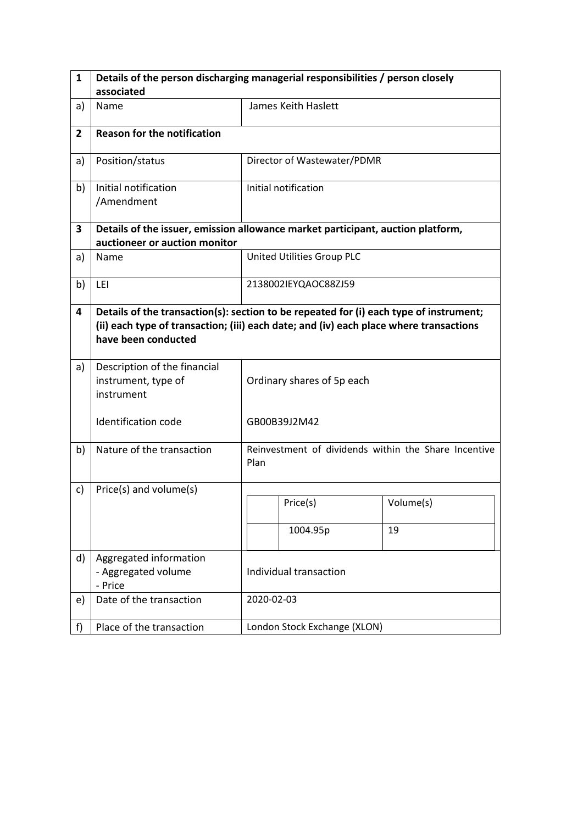| 1              | Details of the person discharging managerial responsibilities / person closely                                                                                                                          |                                                              |                              |           |  |
|----------------|---------------------------------------------------------------------------------------------------------------------------------------------------------------------------------------------------------|--------------------------------------------------------------|------------------------------|-----------|--|
|                | associated                                                                                                                                                                                              |                                                              |                              |           |  |
| a)             | Name                                                                                                                                                                                                    |                                                              | James Keith Haslett          |           |  |
| $\overline{2}$ | <b>Reason for the notification</b>                                                                                                                                                                      |                                                              |                              |           |  |
| a)             | Position/status                                                                                                                                                                                         |                                                              | Director of Wastewater/PDMR  |           |  |
| b)             | Initial notification<br>/Amendment                                                                                                                                                                      |                                                              | Initial notification         |           |  |
| 3              | Details of the issuer, emission allowance market participant, auction platform,                                                                                                                         |                                                              |                              |           |  |
|                | auctioneer or auction monitor                                                                                                                                                                           |                                                              |                              |           |  |
| a)             | Name                                                                                                                                                                                                    |                                                              | United Utilities Group PLC   |           |  |
| b)             | LEI                                                                                                                                                                                                     |                                                              | 2138002IEYQAOC88ZJ59         |           |  |
| 4              | Details of the transaction(s): section to be repeated for (i) each type of instrument;<br>(ii) each type of transaction; (iii) each date; and (iv) each place where transactions<br>have been conducted |                                                              |                              |           |  |
| a)             | Description of the financial<br>instrument, type of<br>instrument                                                                                                                                       | Ordinary shares of 5p each                                   |                              |           |  |
|                | <b>Identification code</b>                                                                                                                                                                              | GB00B39J2M42                                                 |                              |           |  |
| b)             | Nature of the transaction                                                                                                                                                                               | Reinvestment of dividends within the Share Incentive<br>Plan |                              |           |  |
| c)             | Price(s) and volume(s)                                                                                                                                                                                  |                                                              |                              |           |  |
|                |                                                                                                                                                                                                         |                                                              | Price(s)                     | Volume(s) |  |
|                |                                                                                                                                                                                                         |                                                              | 1004.95p                     | 19        |  |
| d)             | Aggregated information<br>- Aggregated volume<br>- Price                                                                                                                                                | Individual transaction                                       |                              |           |  |
| e)             | Date of the transaction                                                                                                                                                                                 |                                                              | 2020-02-03                   |           |  |
| f)             | Place of the transaction                                                                                                                                                                                |                                                              | London Stock Exchange (XLON) |           |  |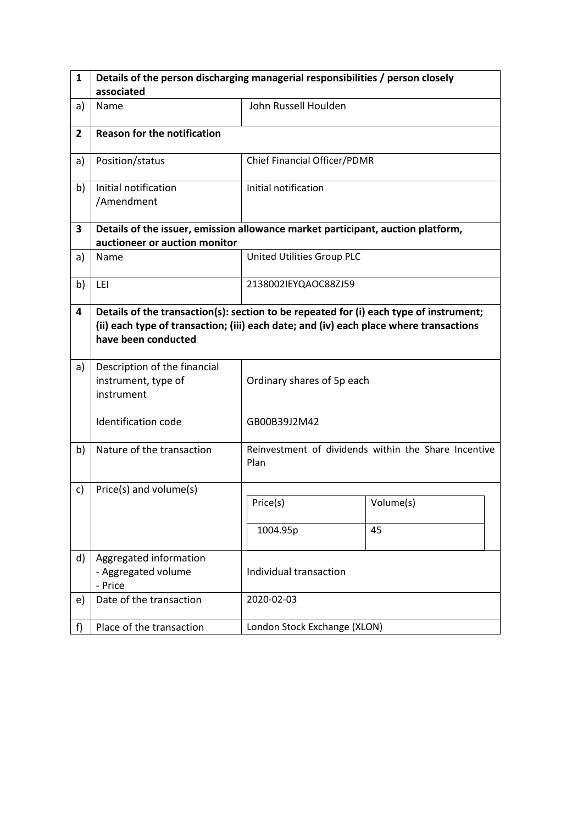| $\mathbf{1}$   | Details of the person discharging managerial responsibilities / person closely                                                                                                                          |                              |                                                      |  |  |  |
|----------------|---------------------------------------------------------------------------------------------------------------------------------------------------------------------------------------------------------|------------------------------|------------------------------------------------------|--|--|--|
|                | associated                                                                                                                                                                                              |                              |                                                      |  |  |  |
| a)             | Name                                                                                                                                                                                                    | John Russell Houlden         |                                                      |  |  |  |
| $\overline{2}$ | <b>Reason for the notification</b>                                                                                                                                                                      |                              |                                                      |  |  |  |
| a)             | Position/status                                                                                                                                                                                         | Chief Financial Officer/PDMR |                                                      |  |  |  |
| b)             | Initial notification<br>/Amendment                                                                                                                                                                      | Initial notification         |                                                      |  |  |  |
| 3              | Details of the issuer, emission allowance market participant, auction platform,                                                                                                                         |                              |                                                      |  |  |  |
|                | auctioneer or auction monitor                                                                                                                                                                           |                              |                                                      |  |  |  |
| a)             | Name                                                                                                                                                                                                    | United Utilities Group PLC   |                                                      |  |  |  |
| b)             | LEI                                                                                                                                                                                                     | 2138002IEYQAOC88ZJ59         |                                                      |  |  |  |
| 4              | Details of the transaction(s): section to be repeated for (i) each type of instrument;<br>(ii) each type of transaction; (iii) each date; and (iv) each place where transactions<br>have been conducted |                              |                                                      |  |  |  |
| a)             | Description of the financial<br>instrument, type of<br>instrument                                                                                                                                       | Ordinary shares of 5p each   |                                                      |  |  |  |
|                | Identification code                                                                                                                                                                                     | GB00B39J2M42                 |                                                      |  |  |  |
| b)             | Nature of the transaction                                                                                                                                                                               | Plan                         | Reinvestment of dividends within the Share Incentive |  |  |  |
| c)             | Price(s) and volume(s)                                                                                                                                                                                  |                              |                                                      |  |  |  |
|                |                                                                                                                                                                                                         | Price(s)                     | Volume(s)                                            |  |  |  |
|                |                                                                                                                                                                                                         | 1004.95p                     | 45                                                   |  |  |  |
| d)             | Aggregated information<br>- Aggregated volume<br>- Price                                                                                                                                                | Individual transaction       |                                                      |  |  |  |
| e)             | Date of the transaction                                                                                                                                                                                 | 2020-02-03                   |                                                      |  |  |  |
| f              | Place of the transaction                                                                                                                                                                                | London Stock Exchange (XLON) |                                                      |  |  |  |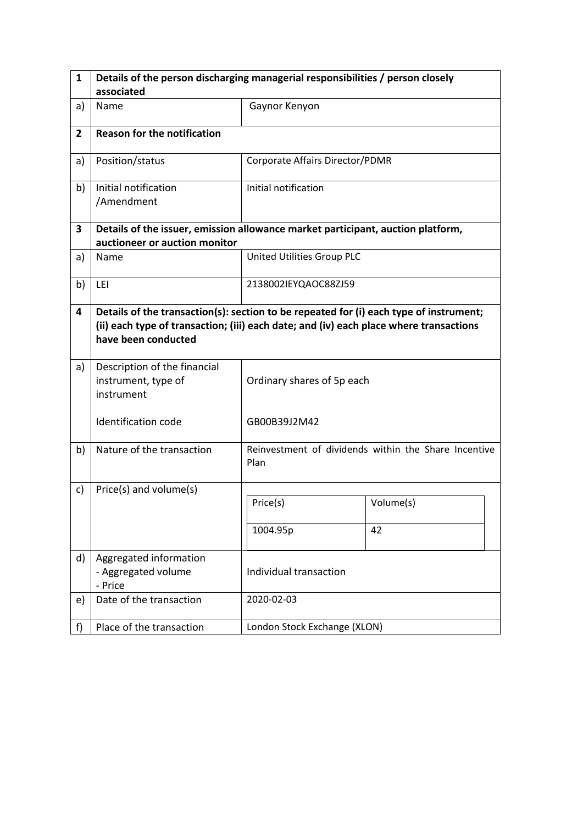| 1              | Details of the person discharging managerial responsibilities / person closely                                                                                                                          |                                 |                                                      |  |  |  |
|----------------|---------------------------------------------------------------------------------------------------------------------------------------------------------------------------------------------------------|---------------------------------|------------------------------------------------------|--|--|--|
|                | associated                                                                                                                                                                                              |                                 |                                                      |  |  |  |
| a)             | Name                                                                                                                                                                                                    | Gaynor Kenyon                   |                                                      |  |  |  |
| $\overline{2}$ | <b>Reason for the notification</b>                                                                                                                                                                      |                                 |                                                      |  |  |  |
| a)             | Position/status                                                                                                                                                                                         | Corporate Affairs Director/PDMR |                                                      |  |  |  |
| b)             | Initial notification<br>/Amendment                                                                                                                                                                      | Initial notification            |                                                      |  |  |  |
| 3              | Details of the issuer, emission allowance market participant, auction platform,                                                                                                                         |                                 |                                                      |  |  |  |
|                | auctioneer or auction monitor                                                                                                                                                                           |                                 |                                                      |  |  |  |
| a)             | Name                                                                                                                                                                                                    | United Utilities Group PLC      |                                                      |  |  |  |
| b)             | LEI                                                                                                                                                                                                     | 2138002IEYQAOC88ZJ59            |                                                      |  |  |  |
| 4              | Details of the transaction(s): section to be repeated for (i) each type of instrument;<br>(ii) each type of transaction; (iii) each date; and (iv) each place where transactions<br>have been conducted |                                 |                                                      |  |  |  |
| a)             | Description of the financial<br>instrument, type of<br>instrument                                                                                                                                       | Ordinary shares of 5p each      |                                                      |  |  |  |
|                | <b>Identification code</b>                                                                                                                                                                              | GB00B39J2M42                    |                                                      |  |  |  |
| b)             | Nature of the transaction                                                                                                                                                                               | Plan                            | Reinvestment of dividends within the Share Incentive |  |  |  |
| c)             | Price(s) and volume(s)                                                                                                                                                                                  |                                 |                                                      |  |  |  |
|                |                                                                                                                                                                                                         | Price(s)                        | Volume(s)                                            |  |  |  |
|                |                                                                                                                                                                                                         | 1004.95p                        | 42                                                   |  |  |  |
| d)             | Aggregated information<br>- Aggregated volume<br>- Price                                                                                                                                                | Individual transaction          |                                                      |  |  |  |
| e)             | Date of the transaction                                                                                                                                                                                 | 2020-02-03                      |                                                      |  |  |  |
| f)             | Place of the transaction                                                                                                                                                                                | London Stock Exchange (XLON)    |                                                      |  |  |  |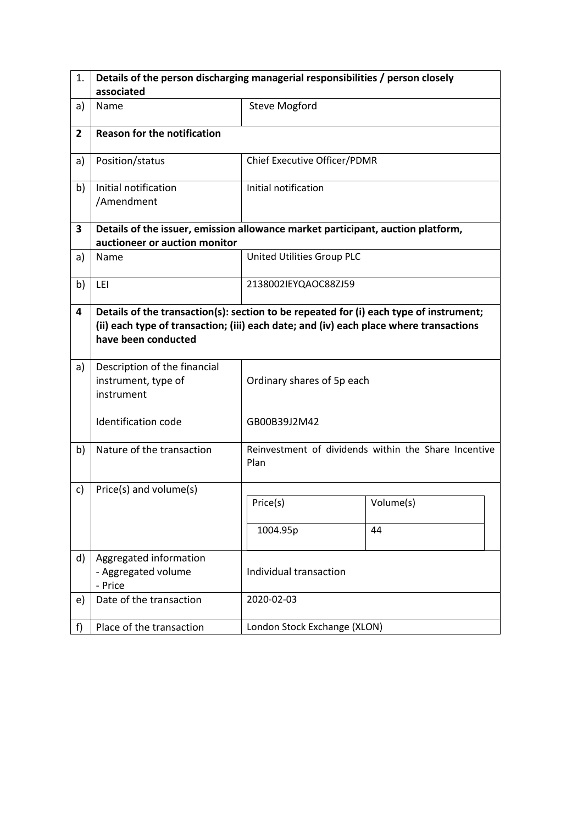| 1.             | Details of the person discharging managerial responsibilities / person closely                                                                                                                          |                              |                                                      |  |  |  |
|----------------|---------------------------------------------------------------------------------------------------------------------------------------------------------------------------------------------------------|------------------------------|------------------------------------------------------|--|--|--|
|                | associated                                                                                                                                                                                              |                              |                                                      |  |  |  |
| a)             | Name                                                                                                                                                                                                    | <b>Steve Mogford</b>         |                                                      |  |  |  |
| $\overline{2}$ | <b>Reason for the notification</b>                                                                                                                                                                      |                              |                                                      |  |  |  |
| a)             | Position/status                                                                                                                                                                                         | Chief Executive Officer/PDMR |                                                      |  |  |  |
| b)             | Initial notification<br>/Amendment                                                                                                                                                                      | Initial notification         |                                                      |  |  |  |
| 3              | Details of the issuer, emission allowance market participant, auction platform,                                                                                                                         |                              |                                                      |  |  |  |
|                | auctioneer or auction monitor                                                                                                                                                                           |                              |                                                      |  |  |  |
| a)             | Name                                                                                                                                                                                                    | United Utilities Group PLC   |                                                      |  |  |  |
| b)             | LEI                                                                                                                                                                                                     | 2138002IEYQAOC88ZJ59         |                                                      |  |  |  |
| 4              | Details of the transaction(s): section to be repeated for (i) each type of instrument;<br>(ii) each type of transaction; (iii) each date; and (iv) each place where transactions<br>have been conducted |                              |                                                      |  |  |  |
| a)             | Description of the financial<br>instrument, type of<br>instrument                                                                                                                                       | Ordinary shares of 5p each   |                                                      |  |  |  |
|                | Identification code                                                                                                                                                                                     | GB00B39J2M42                 |                                                      |  |  |  |
| b)             | Nature of the transaction                                                                                                                                                                               | Plan                         | Reinvestment of dividends within the Share Incentive |  |  |  |
| c)             | Price(s) and volume(s)                                                                                                                                                                                  |                              |                                                      |  |  |  |
|                |                                                                                                                                                                                                         | Price(s)                     | Volume(s)                                            |  |  |  |
|                |                                                                                                                                                                                                         | 1004.95p                     | 44                                                   |  |  |  |
| d)             | Aggregated information<br>- Aggregated volume<br>- Price                                                                                                                                                | Individual transaction       |                                                      |  |  |  |
| e)             | Date of the transaction                                                                                                                                                                                 | 2020-02-03                   |                                                      |  |  |  |
| f              | Place of the transaction                                                                                                                                                                                | London Stock Exchange (XLON) |                                                      |  |  |  |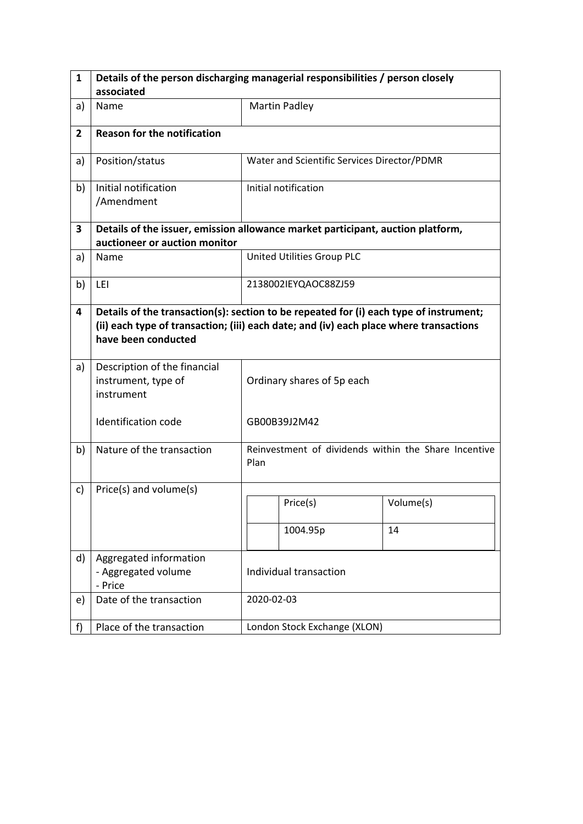| 1              | Details of the person discharging managerial responsibilities / person closely                                                                                                                          |                            |                                             |                                                      |  |  |
|----------------|---------------------------------------------------------------------------------------------------------------------------------------------------------------------------------------------------------|----------------------------|---------------------------------------------|------------------------------------------------------|--|--|
|                | associated                                                                                                                                                                                              |                            |                                             |                                                      |  |  |
| a)             | Name                                                                                                                                                                                                    |                            | <b>Martin Padley</b>                        |                                                      |  |  |
| $\overline{2}$ | <b>Reason for the notification</b>                                                                                                                                                                      |                            |                                             |                                                      |  |  |
| a)             | Position/status                                                                                                                                                                                         |                            | Water and Scientific Services Director/PDMR |                                                      |  |  |
| b)             | Initial notification<br>/Amendment                                                                                                                                                                      |                            | Initial notification                        |                                                      |  |  |
| 3              | Details of the issuer, emission allowance market participant, auction platform,                                                                                                                         |                            |                                             |                                                      |  |  |
|                | auctioneer or auction monitor                                                                                                                                                                           |                            |                                             |                                                      |  |  |
| a)             | Name                                                                                                                                                                                                    |                            | United Utilities Group PLC                  |                                                      |  |  |
| b)             | LEI                                                                                                                                                                                                     |                            | 2138002IEYQAOC88ZJ59                        |                                                      |  |  |
| 4              | Details of the transaction(s): section to be repeated for (i) each type of instrument;<br>(ii) each type of transaction; (iii) each date; and (iv) each place where transactions<br>have been conducted |                            |                                             |                                                      |  |  |
| a)             | Description of the financial<br>instrument, type of<br>instrument                                                                                                                                       | Ordinary shares of 5p each |                                             |                                                      |  |  |
|                | <b>Identification code</b>                                                                                                                                                                              |                            | GB00B39J2M42                                |                                                      |  |  |
| b)             | Nature of the transaction                                                                                                                                                                               | Plan                       |                                             | Reinvestment of dividends within the Share Incentive |  |  |
| c)             | Price(s) and volume(s)                                                                                                                                                                                  |                            |                                             |                                                      |  |  |
|                |                                                                                                                                                                                                         |                            | Price(s)                                    | Volume(s)                                            |  |  |
|                |                                                                                                                                                                                                         |                            | 1004.95p                                    | 14                                                   |  |  |
| d)             | Aggregated information<br>- Aggregated volume<br>- Price                                                                                                                                                | Individual transaction     |                                             |                                                      |  |  |
| e)             | Date of the transaction                                                                                                                                                                                 |                            | 2020-02-03                                  |                                                      |  |  |
| f)             | Place of the transaction                                                                                                                                                                                |                            | London Stock Exchange (XLON)                |                                                      |  |  |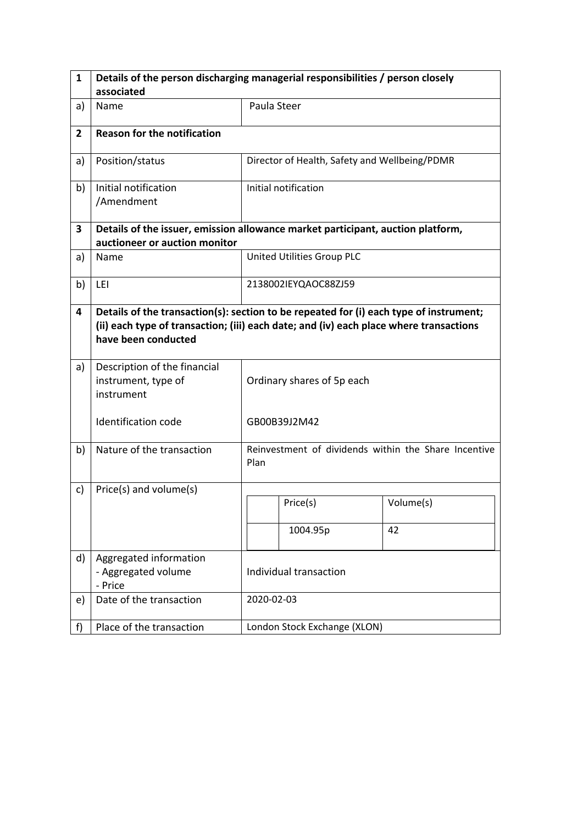| 1              | Details of the person discharging managerial responsibilities / person closely                                                                                                                          |                            |                                               |                                                      |  |  |
|----------------|---------------------------------------------------------------------------------------------------------------------------------------------------------------------------------------------------------|----------------------------|-----------------------------------------------|------------------------------------------------------|--|--|
|                | associated                                                                                                                                                                                              |                            |                                               |                                                      |  |  |
| a)             | Name                                                                                                                                                                                                    |                            | Paula Steer                                   |                                                      |  |  |
| $\overline{2}$ | <b>Reason for the notification</b>                                                                                                                                                                      |                            |                                               |                                                      |  |  |
| a)             | Position/status                                                                                                                                                                                         |                            | Director of Health, Safety and Wellbeing/PDMR |                                                      |  |  |
| b)             | Initial notification<br>/Amendment                                                                                                                                                                      |                            | Initial notification                          |                                                      |  |  |
| 3              | Details of the issuer, emission allowance market participant, auction platform,                                                                                                                         |                            |                                               |                                                      |  |  |
|                | auctioneer or auction monitor                                                                                                                                                                           |                            |                                               |                                                      |  |  |
| a)             | Name                                                                                                                                                                                                    |                            | United Utilities Group PLC                    |                                                      |  |  |
| b)             | LEI                                                                                                                                                                                                     |                            | 2138002IEYQAOC88ZJ59                          |                                                      |  |  |
| 4              | Details of the transaction(s): section to be repeated for (i) each type of instrument;<br>(ii) each type of transaction; (iii) each date; and (iv) each place where transactions<br>have been conducted |                            |                                               |                                                      |  |  |
| a)             | Description of the financial<br>instrument, type of<br>instrument                                                                                                                                       | Ordinary shares of 5p each |                                               |                                                      |  |  |
|                | <b>Identification code</b>                                                                                                                                                                              | GB00B39J2M42               |                                               |                                                      |  |  |
| b)             | Nature of the transaction                                                                                                                                                                               | Plan                       |                                               | Reinvestment of dividends within the Share Incentive |  |  |
| c)             | Price(s) and volume(s)                                                                                                                                                                                  |                            |                                               |                                                      |  |  |
|                |                                                                                                                                                                                                         |                            | Price(s)                                      | Volume(s)                                            |  |  |
|                |                                                                                                                                                                                                         |                            | 1004.95p                                      | 42                                                   |  |  |
| d)             | Aggregated information<br>- Aggregated volume<br>- Price                                                                                                                                                |                            | Individual transaction                        |                                                      |  |  |
| e)             | Date of the transaction                                                                                                                                                                                 |                            | 2020-02-03                                    |                                                      |  |  |
| f)             | Place of the transaction                                                                                                                                                                                |                            | London Stock Exchange (XLON)                  |                                                      |  |  |